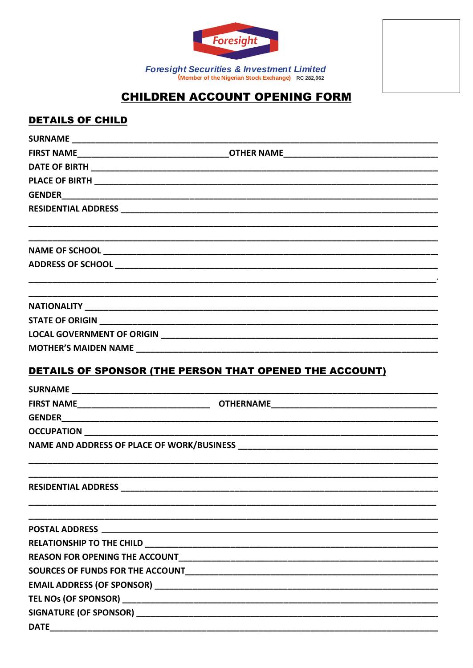

Foresight Securities & Investment Limited<br>(Member of the Nigerian Stock Exchange) RC 282,062

## **CHILDREN ACCOUNT OPENING FORM**

## **DETAILS OF CHILD**

|                            | DETAILS OF SPONSOR (THE PERSON THAT OPENED THE ACCOUNT) |
|----------------------------|---------------------------------------------------------|
|                            |                                                         |
|                            |                                                         |
|                            |                                                         |
|                            |                                                         |
|                            |                                                         |
|                            |                                                         |
|                            |                                                         |
| <b>RESIDENTIAL ADDRESS</b> |                                                         |
|                            |                                                         |
|                            |                                                         |
|                            |                                                         |
|                            |                                                         |
|                            |                                                         |
|                            |                                                         |
|                            |                                                         |
|                            |                                                         |
| <b>DATE</b>                |                                                         |